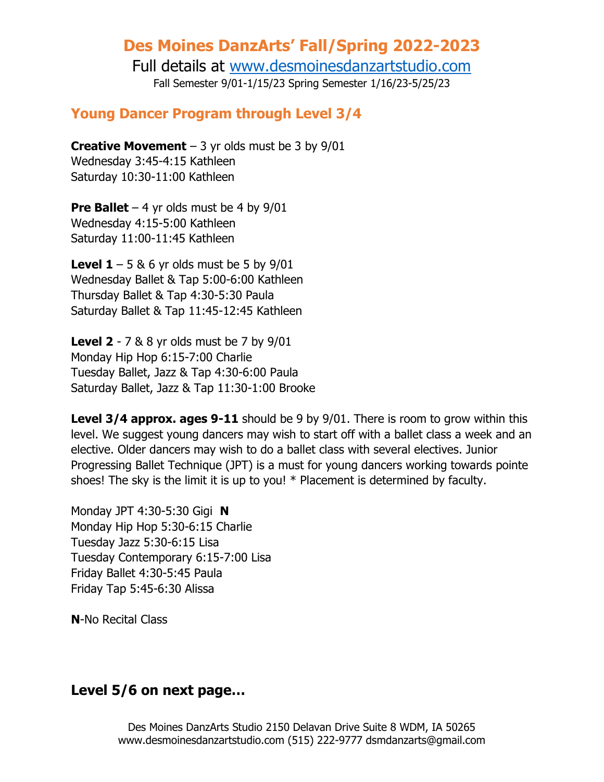### **Des Moines DanzArts' Fall/Spring 2022-2023**

Full details at [www.desmoinesdanzartstudio.com](http://www.desmoinesdanzartstudio.com/) Fall Semester 9/01-1/15/23 Spring Semester 1/16/23-5/25/23

#### **Young Dancer Program through Level 3/4**

**Creative Movement**  $-3$  yr olds must be 3 by  $9/01$ Wednesday 3:45-4:15 Kathleen Saturday 10:30-11:00 Kathleen

**Pre Ballet** – 4 yr olds must be 4 by  $9/01$ Wednesday 4:15-5:00 Kathleen Saturday 11:00-11:45 Kathleen

**Level 1** – 5 & 6 yr olds must be 5 by  $9/01$ Wednesday Ballet & Tap 5:00-6:00 Kathleen Thursday Ballet & Tap 4:30-5:30 Paula Saturday Ballet & Tap 11:45-12:45 Kathleen

**Level 2** - 7 & 8 yr olds must be 7 by 9/01 Monday Hip Hop 6:15-7:00 Charlie Tuesday Ballet, Jazz & Tap 4:30-6:00 Paula Saturday Ballet, Jazz & Tap 11:30-1:00 Brooke

**Level 3/4 approx. ages 9-11** should be 9 by 9/01. There is room to grow within this level. We suggest young dancers may wish to start off with a ballet class a week and an elective. Older dancers may wish to do a ballet class with several electives. Junior Progressing Ballet Technique (JPT) is a must for young dancers working towards pointe shoes! The sky is the limit it is up to you! \* Placement is determined by faculty.

Monday JPT 4:30-5:30 Gigi **N** Monday Hip Hop 5:30-6:15 Charlie Tuesday Jazz 5:30-6:15 Lisa Tuesday Contemporary 6:15-7:00 Lisa Friday Ballet 4:30-5:45 Paula Friday Tap 5:45-6:30 Alissa

**N**-No Recital Class

#### **Level 5/6 on next page…**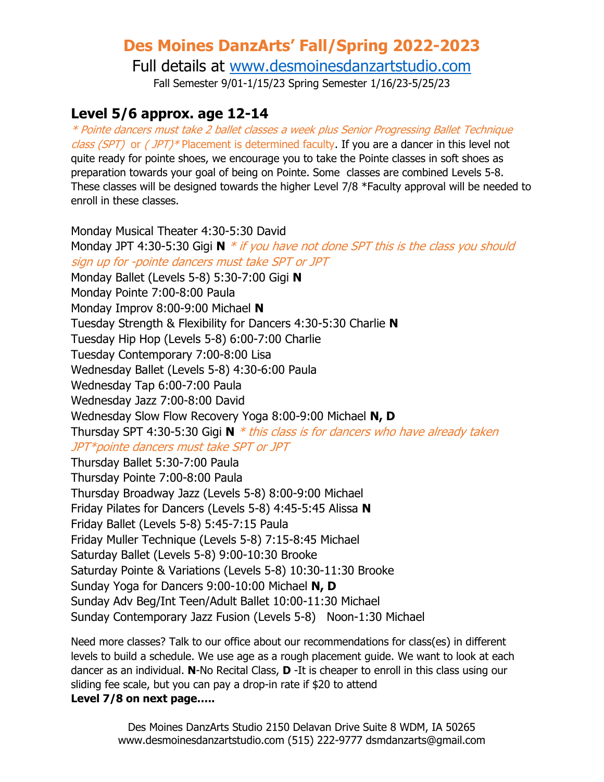# **Des Moines DanzArts' Fall/Spring 2022-2023**

Full details at [www.desmoinesdanzartstudio.com](http://www.desmoinesdanzartstudio.com/)

Fall Semester 9/01-1/15/23 Spring Semester 1/16/23-5/25/23

### **Level 5/6 approx. age 12-14**

\* Pointe dancers must take 2 ballet classes a week plus Senior Progressing Ballet Technique *class (SPT)* or  $(\textit{JPT})$ <sup>\*</sup> Placement is determined faculty. If you are a dancer in this level not quite ready for pointe shoes, we encourage you to take the Pointe classes in soft shoes as preparation towards your goal of being on Pointe. Some classes are combined Levels 5-8. These classes will be designed towards the higher Level 7/8 \*Faculty approval will be needed to enroll in these classes.

Monday Musical Theater 4:30-5:30 David Monday JPT 4:30-5:30 Gigi **N** \* if you have not done SPT this is the class you should sign up for -pointe dancers must take SPT or JPT Monday Ballet (Levels 5-8) 5:30-7:00 Gigi **N** Monday Pointe 7:00-8:00 Paula Monday Improv 8:00-9:00 Michael **N** Tuesday Strength & Flexibility for Dancers 4:30-5:30 Charlie **N** Tuesday Hip Hop (Levels 5-8) 6:00-7:00 Charlie Tuesday Contemporary 7:00-8:00 Lisa Wednesday Ballet (Levels 5-8) 4:30-6:00 Paula Wednesday Tap 6:00-7:00 Paula Wednesday Jazz 7:00-8:00 David Wednesday Slow Flow Recovery Yoga 8:00-9:00 Michael **N, D** Thursday SPT 4:30-5:30 Gigi **N** \* this class is for dancers who have already taken JPT\*pointe dancers must take SPT or JPT Thursday Ballet 5:30-7:00 Paula Thursday Pointe 7:00-8:00 Paula Thursday Broadway Jazz (Levels 5-8) 8:00-9:00 Michael Friday Pilates for Dancers (Levels 5-8) 4:45-5:45 Alissa **N** Friday Ballet (Levels 5-8) 5:45-7:15 Paula Friday Muller Technique (Levels 5-8) 7:15-8:45 Michael Saturday Ballet (Levels 5-8) 9:00-10:30 Brooke Saturday Pointe & Variations (Levels 5-8) 10:30-11:30 Brooke Sunday Yoga for Dancers 9:00-10:00 Michael **N, D** Sunday Adv Beg/Int Teen/Adult Ballet 10:00-11:30 Michael Sunday Contemporary Jazz Fusion (Levels 5-8) Noon-1:30 Michael

Need more classes? Talk to our office about our recommendations for class(es) in different levels to build a schedule. We use age as a rough placement guide. We want to look at each dancer as an individual. **N**-No Recital Class, **D** -It is cheaper to enroll in this class using our sliding fee scale, but you can pay a drop-in rate if \$20 to attend **Level 7/8 on next page…..**